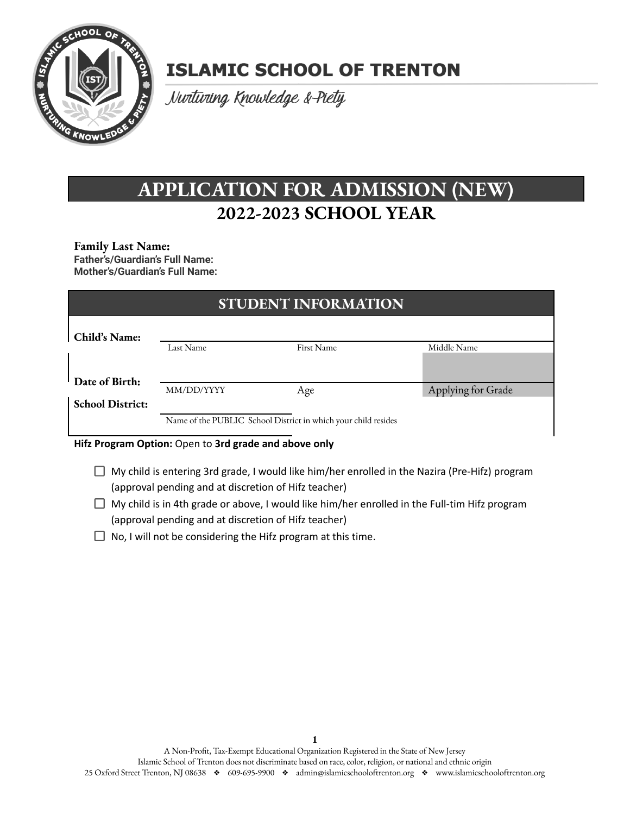

# **ISLAMIC SCHOOL OF TRENTON**

Nurturing Knowledge &-Piety

## **APPLICATION FOR ADMISSION (NEW) 2022-2023 SCHOOL YEAR**

#### **Family Last Name:**

**Father's/Guardian's Full Name: Mother's/Guardian's Full Name:**

| <b>STUDENT INFORMATION</b> |                                                                |            |                    |  |  |  |
|----------------------------|----------------------------------------------------------------|------------|--------------------|--|--|--|
| Child's Name:              |                                                                |            |                    |  |  |  |
|                            | Last Name                                                      | First Name | Middle Name        |  |  |  |
|                            |                                                                |            |                    |  |  |  |
| Date of Birth:             |                                                                |            |                    |  |  |  |
|                            | MM/DD/YYYY                                                     | Age        | Applying for Grade |  |  |  |
| <b>School District:</b>    |                                                                |            |                    |  |  |  |
|                            | Name of the PUBLIC School District in which your child resides |            |                    |  |  |  |
|                            |                                                                |            |                    |  |  |  |

#### **Hifz Program Option:** Open to **3rd grade and above only**

- $\Box$  My child is entering 3rd grade, I would like him/her enrolled in the Nazira (Pre-Hifz) program (approval pending and at discretion of Hifz teacher)
- $\Box$  My child is in 4th grade or above, I would like him/her enrolled in the Full-tim Hifz program (approval pending and at discretion of Hifz teacher)
- $\Box$  No, I will not be considering the Hifz program at this time.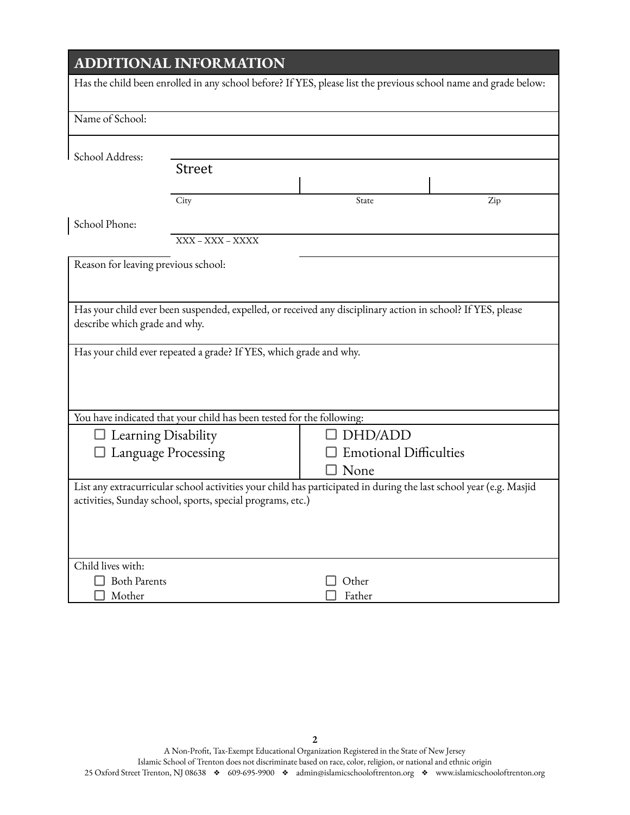## **ADDITIONAL INFORMATION**

| Has the child been enrolled in any school before? If YES, please list the previous school name and grade below: |                                                                                                                                                                                   |                                          |     |  |  |
|-----------------------------------------------------------------------------------------------------------------|-----------------------------------------------------------------------------------------------------------------------------------------------------------------------------------|------------------------------------------|-----|--|--|
| Name of School:                                                                                                 |                                                                                                                                                                                   |                                          |     |  |  |
| School Address:                                                                                                 |                                                                                                                                                                                   |                                          |     |  |  |
|                                                                                                                 | <b>Street</b>                                                                                                                                                                     |                                          |     |  |  |
|                                                                                                                 | City                                                                                                                                                                              | State                                    | Zip |  |  |
| School Phone:                                                                                                   |                                                                                                                                                                                   |                                          |     |  |  |
|                                                                                                                 | XXX - XXX - XXXX                                                                                                                                                                  |                                          |     |  |  |
| Reason for leaving previous school:                                                                             |                                                                                                                                                                                   |                                          |     |  |  |
|                                                                                                                 |                                                                                                                                                                                   |                                          |     |  |  |
| describe which grade and why.                                                                                   | Has your child ever been suspended, expelled, or received any disciplinary action in school? If YES, please<br>Has your child ever repeated a grade? If YES, which grade and why. |                                          |     |  |  |
|                                                                                                                 |                                                                                                                                                                                   |                                          |     |  |  |
| You have indicated that your child has been tested for the following:                                           |                                                                                                                                                                                   |                                          |     |  |  |
| $\Box$ Learning Disability                                                                                      |                                                                                                                                                                                   | DHD/ADD<br><b>Emotional Difficulties</b> |     |  |  |
| Language Processing                                                                                             |                                                                                                                                                                                   | None                                     |     |  |  |
|                                                                                                                 | List any extracurricular school activities your child has participated in during the last school year (e.g. Masjid<br>activities, Sunday school, sports, special programs, etc.)  |                                          |     |  |  |
| Child lives with:                                                                                               |                                                                                                                                                                                   |                                          |     |  |  |
| <b>Both Parents</b>                                                                                             |                                                                                                                                                                                   | Other                                    |     |  |  |
| Mother                                                                                                          |                                                                                                                                                                                   | Father                                   |     |  |  |